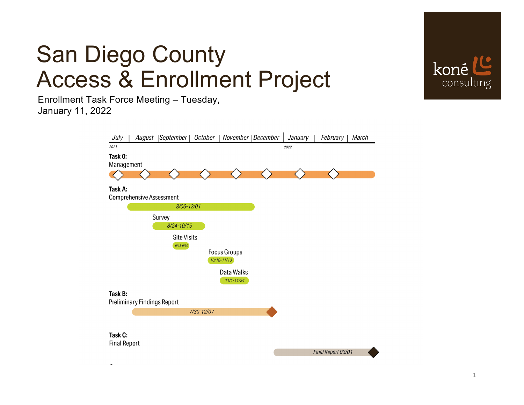

### San Diego County Access & Enrollment Project

Enrollment Task Force Meeting – Tuesday, January 11, 2022

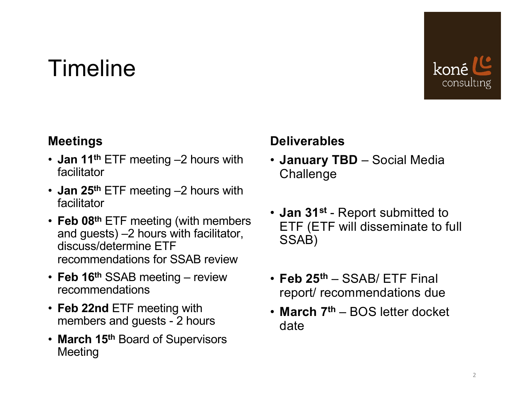## Timeline



#### **Meetings**

- **Jan 11th** ETF meeting –2 hours with facilitator
- **Jan 25th** ETF meeting –2 hours with facilitator
- **Feb 08th** ETF meeting (with members and guests) –2 hours with facilitator, discuss/determine ETF recommendations for SSAB review
- **Feb 16th** SSAB meeting review recommendations
- **Feb 22nd** ETF meeting with members and guests - 2 hours
- **March 15th** Board of Supervisors Meeting

#### **Deliverables**

- **January TBD** Social Media Challenge
- **Jan 31st** Report submitted to ETF (ETF will disseminate to full SSAB)
- **Feb 25th** SSAB/ ETF Final report/ recommendations due
- **March 7th** BOS letter docket date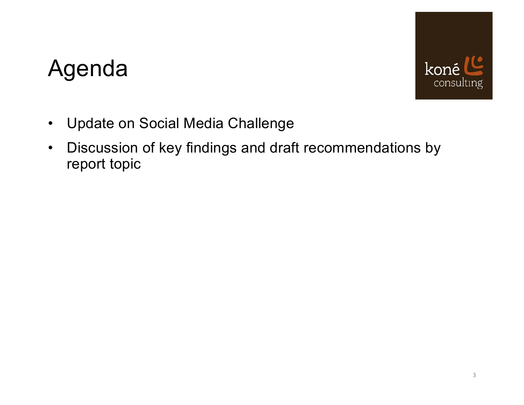# Agenda



- Update on Social Media Challenge
- Discussion of key findings and draft recommendations by report topic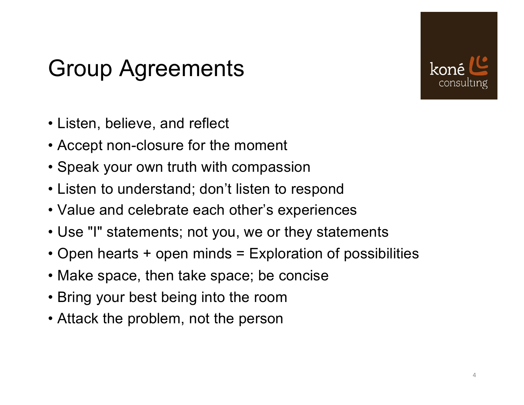## Group Agreements



- Listen, believe, and reflect
- Accept non-closure for the moment
- Speak your own truth with compassion
- Listen to understand; don't listen to respond
- Value and celebrate each other's experiences
- Use "I" statements; not you, we or they statements
- Open hearts + open minds = Exploration of possibilities
- Make space, then take space; be concise
- Bring your best being into the room
- Attack the problem, not the person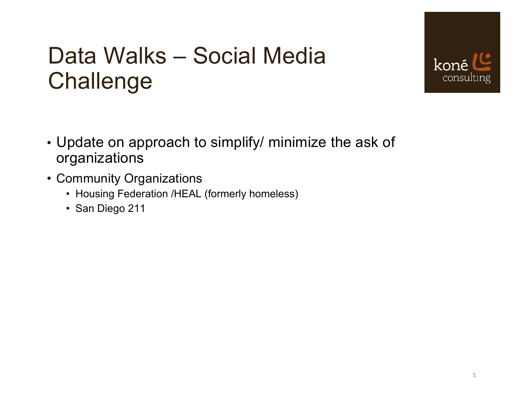## Data Walks – Social Media Challenge



- Update on approach to simplify/ minimize the ask of organizations
- Community Organizations
	- Housing Federation /HEAL (formerly homeless)
	- San Diego 211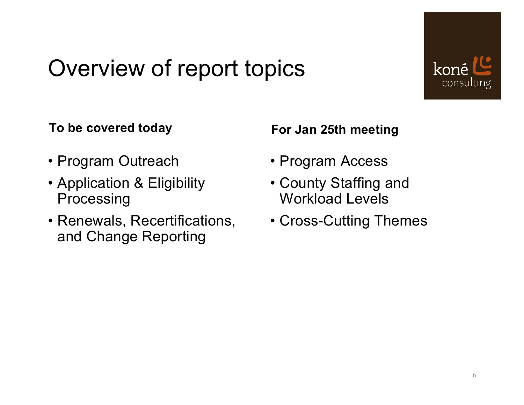## Overview of report topics



#### **To be covered today**

- Program Outreach
- Application & Eligibility Processing
- Renewals, Recertifications, and Change Reporting

#### **For Jan 25th meeting**

- Program Access
- County Staffing and Workload Levels
- Cross-Cutting Themes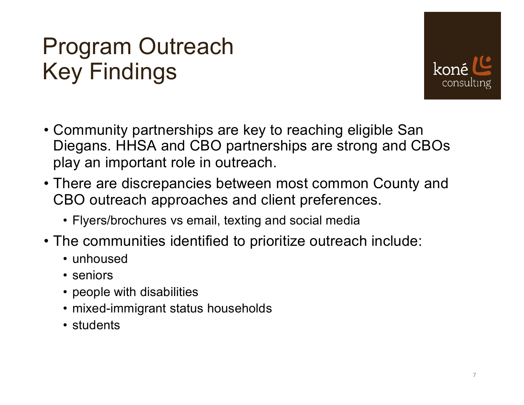# Program Outreach Key Findings



- Community partnerships are key to reaching eligible San Diegans. HHSA and CBO partnerships are strong and CBOs play an important role in outreach.
- There are discrepancies between most common County and CBO outreach approaches and client preferences.
	- Flyers/brochures vs email, texting and social media
- The communities identified to prioritize outreach include:
	- unhoused
	- seniors
	- people with disabilities
	- mixed-immigrant status households
	- students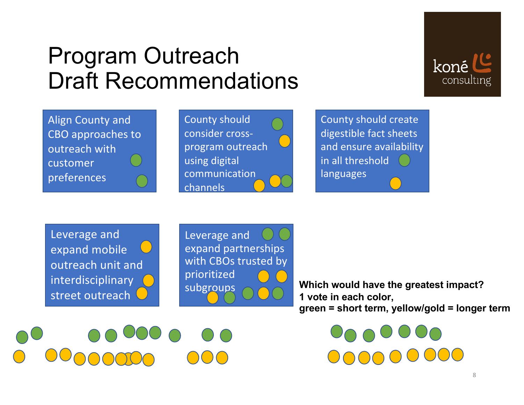### Program Outreach Draft Recommendations



Align County and CBO approaches to outreach with customer preferences

County should consider crossprogram outreach using digital communication channels

County should create digestible fact sheets and ensure availability in all threshold languages

Leverage and expand mobile outreach unit and interdisciplinary street outreach

teams

Leverage and expand partnerships with CBOs trusted by prioritized subgroups

**Which would have the greatest impact? 1 vote in each color, green = short term, yellow/gold = longer term**

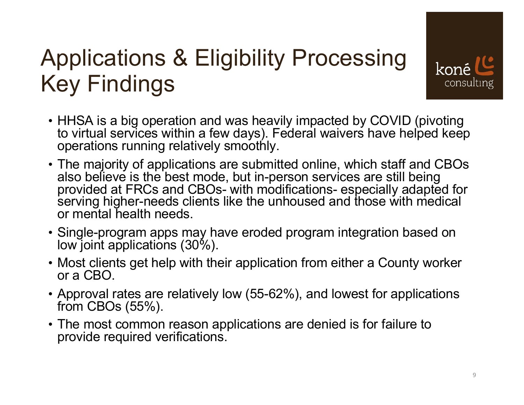# Applications & Eligibility Processing Key Findings



- HHSA is a big operation and was heavily impacted by COVID (pivoting to virtual services within a few days). Federal waivers have helped keep operations running relatively smoothly.
- The majority of applications are submitted online, which staff and CBOs also believe is the best mode, but in-person services are still being provided at FRCs and CBOs- with modifications- especially adapted for serving higher-needs clients like the unhoused and those with medical or mental health needs.
- Single-program apps may have eroded program integration based on low joint applications (30%).
- Most clients get help with their application from either a County worker or a CBO.
- Approval rates are relatively low (55-62%), and lowest for applications from CBOs (55%).
- The most common reason applications are denied is for failure to provide required verifications.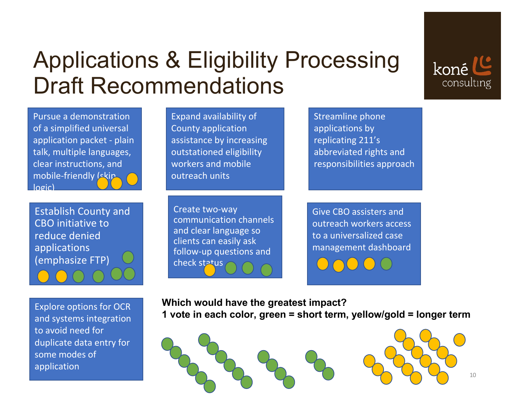## Applications & Eligibility Processing Draft Recommendations

Pursue a demonstration of a simplified universal application packet - plain talk, multiple languages, clear instructions, and mobile-friendly (skip logic)

Establish County and CBO initiative to reduce denied applications (emphasize FTP)

Explore options for OCR and systems integration to avoid need for duplicate data entry for some modes of application

Expand availability of County application assistance by increasing outstationed eligibility workers and mobile outreach units

Create two-way communication channels and clear language so clients can easily ask follow-up questions and check status

Streamline phone applications by replicating 211's abbreviated rights and responsibilities approach

Give CBO assisters and outreach workers access to a universalized case management dashboard

**Which would have the greatest impact?** 

**1 vote in each color, green = short term, yellow/gold = longer term**



koné

consulting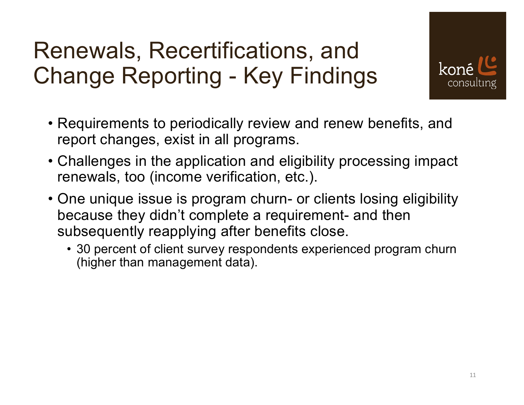# Renewals, Recertifications, and Change Reporting - Key Findings



- Requirements to periodically review and renew benefits, and report changes, exist in all programs.
- Challenges in the application and eligibility processing impact renewals, too (income verification, etc.).
- One unique issue is program churn- or clients losing eligibility because they didn't complete a requirement- and then subsequently reapplying after benefits close.
	- 30 percent of client survey respondents experienced program churn (higher than management data).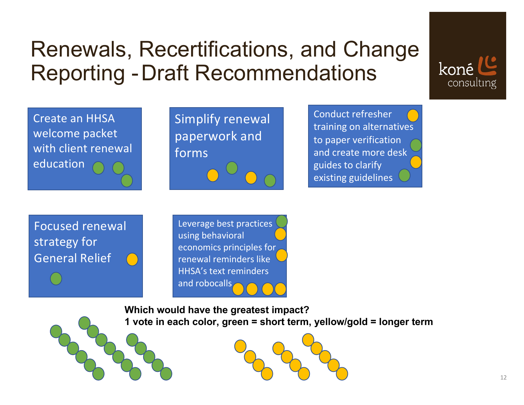### Renewals, Recertifications, and Change Reporting -Draft Recommendations

Create an HHSA welcome packet with client renewal education

Simplify renewal paperwork and forms

Conduct refresher training on alternatives to paper verification and create more desk guides to clarify existing guidelines

koné

consulting

Focused renewal strategy for General Relief

Leverage best practices using behavioral economics principles for renewal reminders like HHSA's text reminders and robocalls

**Which would have the greatest impact? 1 vote in each color, green = short term, yellow/gold = longer term**